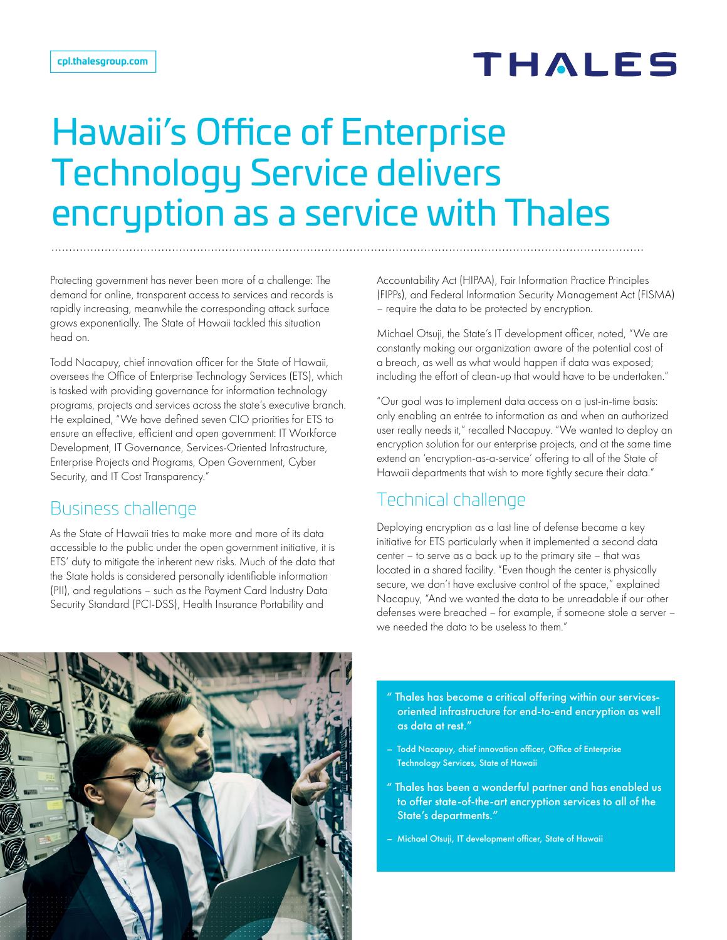# **THALES**

# Hawaii's Office of Enterprise Technology Service delivers encryption as a service with Thales

Protecting government has never been more of a challenge: The demand for online, transparent access to services and records is rapidly increasing, meanwhile the corresponding attack surface grows exponentially. The State of Hawaii tackled this situation head on.

Todd Nacapuy, chief innovation officer for the State of Hawaii, oversees the Office of Enterprise Technology Services (ETS), which is tasked with providing governance for information technology programs, projects and services across the state's executive branch. He explained, "We have defined seven CIO priorities for ETS to ensure an effective, efficient and open government: IT Workforce Development, IT Governance, Services-Oriented Infrastructure, Enterprise Projects and Programs, Open Government, Cyber Security, and IT Cost Transparency."

#### Business challenge

As the State of Hawaii tries to make more and more of its data accessible to the public under the open government initiative, it is ETS' duty to mitigate the inherent new risks. Much of the data that the State holds is considered personally identifiable information (PII), and regulations – such as the Payment Card Industry Data Security Standard (PCI-DSS), Health Insurance Portability and

Accountability Act (HIPAA), Fair Information Practice Principles (FIPPs), and Federal Information Security Management Act (FISMA) – require the data to be protected by encryption.

Michael Otsuji, the State's IT development officer, noted, "We are constantly making our organization aware of the potential cost of a breach, as well as what would happen if data was exposed; including the effort of clean-up that would have to be undertaken."

"Our goal was to implement data access on a just-in-time basis: only enabling an entrée to information as and when an authorized user really needs it," recalled Nacapuy. "We wanted to deploy an encryption solution for our enterprise projects, and at the same time extend an 'encryption-as-a-service' offering to all of the State of Hawaii departments that wish to more tightly secure their data."

## Technical challenge

Deploying encryption as a last line of defense became a key initiative for ETS particularly when it implemented a second data center – to serve as a back up to the primary site – that was located in a shared facility. "Even though the center is physically secure, we don't have exclusive control of the space," explained Nacapuy, "And we wanted the data to be unreadable if our other defenses were breached – for example, if someone stole a server – we needed the data to be useless to them."



- " Thales has become a critical offering within our servicesoriented infrastructure for end-to-end encryption as well as data at rest."
- Todd Nacapuy, chief innovation officer, Office of Enterprise Technology Services, State of Hawaii
- " Thales has been a wonderful partner and has enabled us to offer state-of-the-art encryption services to all of the State's departments."
- Michael Otsuji, IT development officer, State of Hawaii